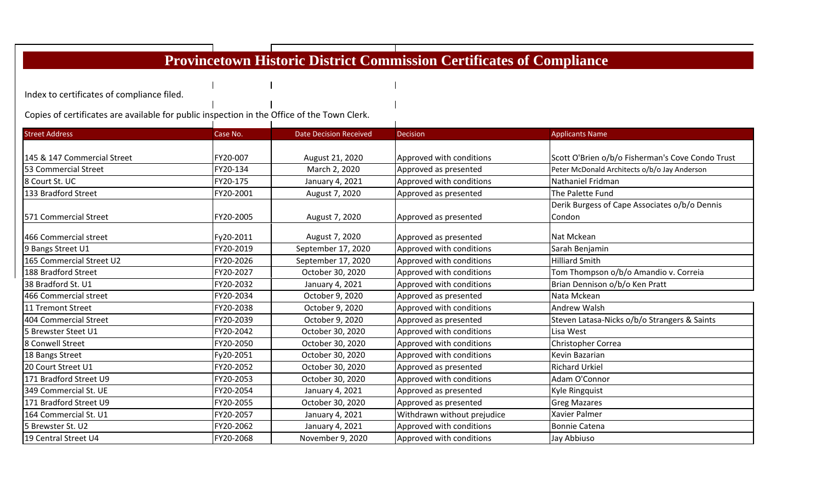Index to certificates of compliance filed.

Copies of certificates are available for public inspection in the Office of the Town Clerk.

| <b>Street Address</b>       | Case No.  | <b>Date Decision Received</b> | <b>Decision</b>             | <b>Applicants Name</b>                           |
|-----------------------------|-----------|-------------------------------|-----------------------------|--------------------------------------------------|
|                             |           |                               |                             |                                                  |
| 145 & 147 Commercial Street | FY20-007  | August 21, 2020               | Approved with conditions    | Scott O'Brien o/b/o Fisherman's Cove Condo Trust |
| 53 Commercial Street        | FY20-134  | March 2, 2020                 | Approved as presented       | Peter McDonald Architects o/b/o Jay Anderson     |
| 8 Court St. UC              | FY20-175  | January 4, 2021               | Approved with conditions    | Nathaniel Fridman                                |
| 133 Bradford Street         | FY20-2001 | August 7, 2020                | Approved as presented       | The Palette Fund                                 |
|                             |           |                               |                             | Derik Burgess of Cape Associates o/b/o Dennis    |
| 571 Commercial Street       | FY20-2005 | August 7, 2020                | Approved as presented       | Condon                                           |
| 466 Commercial street       | Fy20-2011 | August 7, 2020                | Approved as presented       | Nat Mckean                                       |
| 9 Bangs Street U1           | FY20-2019 | September 17, 2020            | Approved with conditions    | Sarah Benjamin                                   |
| 165 Commercial Street U2    | FY20-2026 | September 17, 2020            | Approved with conditions    | <b>Hilliard Smith</b>                            |
| 188 Bradford Street         | FY20-2027 | October 30, 2020              | Approved with conditions    | Tom Thompson o/b/o Amandio v. Correia            |
| 38 Bradford St. U1          | FY20-2032 | January 4, 2021               | Approved with conditions    | Brian Dennison o/b/o Ken Pratt                   |
| 466 Commercial street       | FY20-2034 | October 9, 2020               | Approved as presented       | Nata Mckean                                      |
| 11 Tremont Street           | FY20-2038 | October 9, 2020               | Approved with conditions    | <b>Andrew Walsh</b>                              |
| 404 Commercial Street       | FY20-2039 | October 9, 2020               | Approved as presented       | Steven Latasa-Nicks o/b/o Strangers & Saints     |
| 5 Brewster Steet U1         | FY20-2042 | October 30, 2020              | Approved with conditions    | Lisa West                                        |
| 8 Conwell Street            | FY20-2050 | October 30, 2020              | Approved with conditions    | Christopher Correa                               |
| 18 Bangs Street             | Fy20-2051 | October 30, 2020              | Approved with conditions    | Kevin Bazarian                                   |
| 20 Court Street U1          | FY20-2052 | October 30, 2020              | Approved as presented       | <b>Richard Urkiel</b>                            |
| 171 Bradford Street U9      | FY20-2053 | October 30, 2020              | Approved with conditions    | Adam O'Connor                                    |
| 349 Commercial St. UE       | FY20-2054 | January 4, 2021               | Approved as presented       | Kyle Ringquist                                   |
| 171 Bradford Street U9      | FY20-2055 | October 30, 2020              | Approved as presented       | <b>Greg Mazares</b>                              |
| 164 Commercial St. U1       | FY20-2057 | January 4, 2021               | Withdrawn without prejudice | <b>Xavier Palmer</b>                             |
| 5 Brewster St. U2           | FY20-2062 | January 4, 2021               | Approved with conditions    | <b>Bonnie Catena</b>                             |
| 19 Central Street U4        | FY20-2068 | November 9, 2020              | Approved with conditions    | Jay Abbiuso                                      |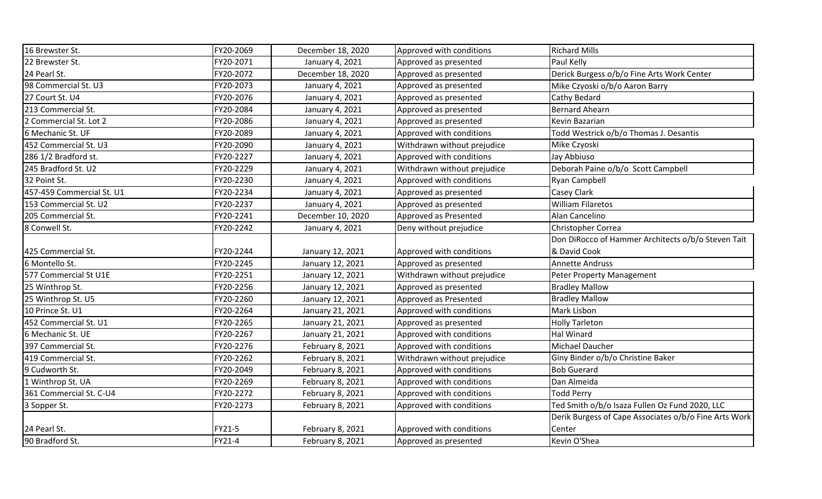| 16 Brewster St.           | FY20-2069 | December 18, 2020 | Approved with conditions    | <b>Richard Mills</b>                                  |
|---------------------------|-----------|-------------------|-----------------------------|-------------------------------------------------------|
| 22 Brewster St.           | FY20-2071 | January 4, 2021   | Approved as presented       | Paul Kelly                                            |
| 24 Pearl St.              | FY20-2072 | December 18, 2020 | Approved as presented       | Derick Burgess o/b/o Fine Arts Work Center            |
| 98 Commercial St. U3      | FY20-2073 | January 4, 2021   | Approved as presented       | Mike Czyoski o/b/o Aaron Barry                        |
| 27 Court St. U4           | FY20-2076 | January 4, 2021   | Approved as presented       | Cathy Bedard                                          |
| 213 Commercial St.        | FY20-2084 | January 4, 2021   | Approved as presented       | <b>Bernard Ahearn</b>                                 |
| 2 Commercial St. Lot 2    | FY20-2086 | January 4, 2021   | Approved as presented       | Kevin Bazarian                                        |
| 6 Mechanic St. UF         | FY20-2089 | January 4, 2021   | Approved with conditions    | Todd Westrick o/b/o Thomas J. Desantis                |
| 452 Commercial St. U3     | FY20-2090 | January 4, 2021   | Withdrawn without prejudice | Mike Czyoski                                          |
| 286 1/2 Bradford st.      | FY20-2227 | January 4, 2021   | Approved with conditions    | Jay Abbiuso                                           |
| 245 Bradford St. U2       | FY20-2229 | January 4, 2021   | Withdrawn without prejudice | Deborah Paine o/b/o Scott Campbell                    |
| 32 Point St.              | FY20-2230 | January 4, 2021   | Approved with conditions    | Ryan Campbell                                         |
| 457-459 Commercial St. U1 | FY20-2234 | January 4, 2021   | Approved as presented       | Casey Clark                                           |
| 153 Commercial St. U2     | FY20-2237 | January 4, 2021   | Approved as presented       | <b>William Filaretos</b>                              |
| 205 Commercial St.        | FY20-2241 | December 10, 2020 | Approved as Presented       | Alan Cancelino                                        |
| 8 Conwell St.             | FY20-2242 | January 4, 2021   | Deny without prejudice      | Christopher Correa                                    |
|                           |           |                   |                             | Don DiRocco of Hammer Architects o/b/o Steven Tait    |
| 425 Commercial St.        | FY20-2244 | January 12, 2021  | Approved with conditions    | & David Cook                                          |
| 6 Montello St.            | FY20-2245 | January 12, 2021  | Approved as presented       | <b>Annette Andruss</b>                                |
| 577 Commercial St U1E     | FY20-2251 | January 12, 2021  | Withdrawn without prejudice | Peter Property Management                             |
| 25 Winthrop St.           | FY20-2256 | January 12, 2021  | Approved as presented       | <b>Bradley Mallow</b>                                 |
| 25 Winthrop St. U5        | FY20-2260 | January 12, 2021  | Approved as Presented       | <b>Bradley Mallow</b>                                 |
| 10 Prince St. U1          | FY20-2264 | January 21, 2021  | Approved with conditions    | Mark Lisbon                                           |
| 452 Commercial St. U1     | FY20-2265 | January 21, 2021  | Approved as presented       | <b>Holly Tarleton</b>                                 |
| 6 Mechanic St. UE         | FY20-2267 | January 21, 2021  | Approved with conditions    | <b>Hal Winard</b>                                     |
| 397 Commercial St.        | FY20-2276 | February 8, 2021  | Approved with conditions    | Michael Daucher                                       |
| 419 Commercial St.        | FY20-2262 | February 8, 2021  | Withdrawn without prejudice | Giny Binder o/b/o Christine Baker                     |
| 9 Cudworth St.            | FY20-2049 | February 8, 2021  | Approved with conditions    | <b>Bob Guerard</b>                                    |
| 1 Winthrop St. UA         | FY20-2269 | February 8, 2021  | Approved with conditions    | Dan Almeida                                           |
| 361 Commercial St. C-U4   | FY20-2272 | February 8, 2021  | Approved with conditions    | <b>Todd Perry</b>                                     |
| 3 Sopper St.              | FY20-2273 | February 8, 2021  | Approved with conditions    | Ted Smith o/b/o Isaza Fullen Oz Fund 2020, LLC        |
|                           |           |                   |                             | Derik Burgess of Cape Associates o/b/o Fine Arts Work |
| 24 Pearl St.              | FY21-5    | February 8, 2021  | Approved with conditions    | Center                                                |
| 90 Bradford St.           | FY21-4    | February 8, 2021  | Approved as presented       | Kevin O'Shea                                          |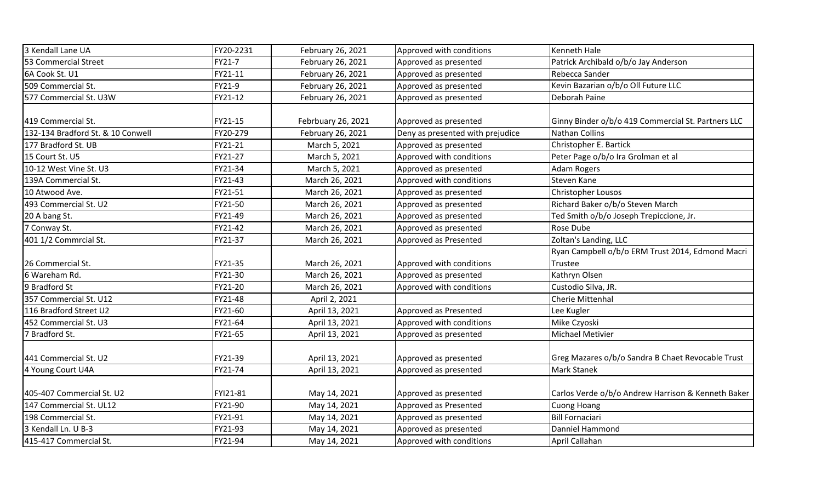| 3 Kendall Lane UA                 | FY20-2231 | February 26, 2021  | Approved with conditions         | Kenneth Hale                                       |
|-----------------------------------|-----------|--------------------|----------------------------------|----------------------------------------------------|
| 53 Commercial Street              | FY21-7    | February 26, 2021  | Approved as presented            | Patrick Archibald o/b/o Jay Anderson               |
| 6A Cook St. U1                    | FY21-11   | February 26, 2021  | Approved as presented            | Rebecca Sander                                     |
| 509 Commercial St.                | FY21-9    | February 26, 2021  | Approved as presented            | Kevin Bazarian o/b/o Oll Future LLC                |
| 577 Commercial St. U3W            | FY21-12   | February 26, 2021  | Approved as presented            | Deborah Paine                                      |
| 419 Commercial St.                | FY21-15   | Febrbuary 26, 2021 | Approved as presented            | Ginny Binder o/b/o 419 Commercial St. Partners LLC |
| 132-134 Bradford St. & 10 Conwell | FY20-279  | February 26, 2021  | Deny as presented with prejudice | Nathan Collins                                     |
| 177 Bradford St. UB               | FY21-21   | March 5, 2021      | Approved as presented            | Christopher E. Bartick                             |
| 15 Court St. U5                   | FY21-27   | March 5, 2021      | Approved with conditions         | Peter Page o/b/o Ira Grolman et al                 |
| 10-12 West Vine St. U3            | FY21-34   | March 5, 2021      | Approved as presented            | Adam Rogers                                        |
| 139A Commercial St.               | FY21-43   | March 26, 2021     | Approved with conditions         | <b>Steven Kane</b>                                 |
| 10 Atwood Ave.                    | FY21-51   | March 26, 2021     | Approved as presented            | Christopher Lousos                                 |
| 493 Commercial St. U2             | FY21-50   | March 26, 2021     | Approved as presented            | Richard Baker o/b/o Steven March                   |
| 20 A bang St.                     | FY21-49   | March 26, 2021     | Approved as presented            | Ted Smith o/b/o Joseph Trepiccione, Jr.            |
| 7 Conway St.                      | FY21-42   | March 26, 2021     | Approved as presented            | Rose Dube                                          |
| 401 1/2 Commrcial St.             | FY21-37   | March 26, 2021     | Approved as Presented            | Zoltan's Landing, LLC                              |
|                                   |           |                    |                                  | Ryan Campbell o/b/o ERM Trust 2014, Edmond Macri   |
| 26 Commercial St.                 | FY21-35   | March 26, 2021     | Approved with conditions         | Trustee                                            |
| 6 Wareham Rd.                     | FY21-30   | March 26, 2021     | Approved as presented            | Kathryn Olsen                                      |
| 9 Bradford St                     | FY21-20   | March 26, 2021     | Approved with conditions         | Custodio Silva, JR.                                |
| 357 Commercial St. U12            | FY21-48   | April 2, 2021      |                                  | Cherie Mittenhal                                   |
| 116 Bradford Street U2            | FY21-60   | April 13, 2021     | Approved as Presented            | Lee Kugler                                         |
| 452 Commercial St. U3             | FY21-64   | April 13, 2021     | Approved with conditions         | Mike Czyoski                                       |
| 7 Bradford St.                    | FY21-65   | April 13, 2021     | Approved as presented            | Michael Metivier                                   |
| 441 Commercial St. U2             | FY21-39   | April 13, 2021     | Approved as presented            | Greg Mazares o/b/o Sandra B Chaet Revocable Trust  |
| 4 Young Court U4A                 | FY21-74   | April 13, 2021     | Approved as presented            | <b>Mark Stanek</b>                                 |
| 405-407 Commercial St. U2         | FYI21-81  | May 14, 2021       | Approved as presented            | Carlos Verde o/b/o Andrew Harrison & Kenneth Baker |
| 147 Commercial St. UL12           | FY21-90   | May 14, 2021       | Approved as Presented            | <b>Cuong Hoang</b>                                 |
| 198 Commercial St.                | FY21-91   | May 14, 2021       | Approved as presented            | <b>Bill Fornaciari</b>                             |
| 3 Kendall Ln. U B-3               | FY21-93   | May 14, 2021       | Approved as presented            | Danniel Hammond                                    |
| 415-417 Commercial St.            | FY21-94   | May 14, 2021       | Approved with conditions         | April Callahan                                     |